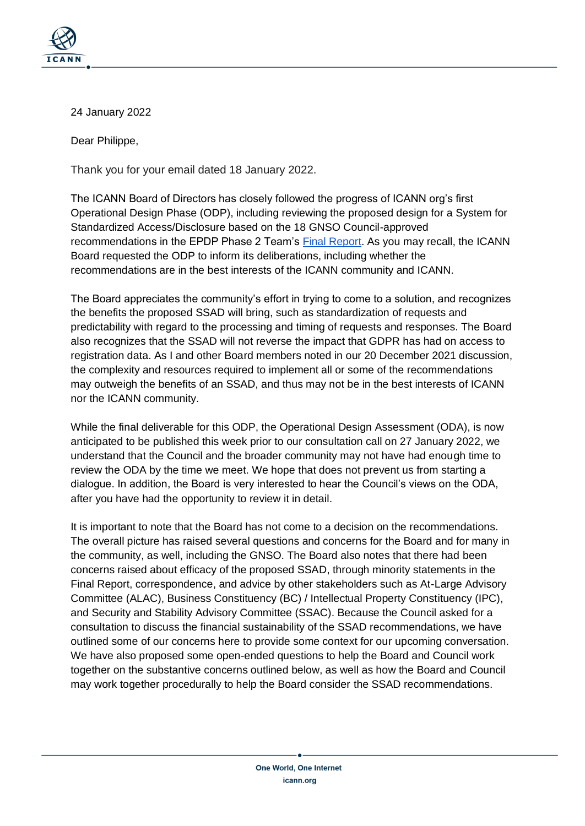

## 24 January 2022

Dear Philippe,

Thank you for your email dated 18 January 2022.

The ICANN Board of Directors has closely followed the progress of ICANN org's first Operational Design Phase (ODP), including reviewing the proposed design for a System for Standardized Access/Disclosure based on the 18 GNSO Council-approved recommendations in the EPDP Phase 2 Team's [Final Report.](https://gnso.icann.org/sites/default/files/file/field-file-attach/epdp-phase-2-temp-spec-gtld-registration-data-2-31jul20-en.pdf) As you may recall, the ICANN Board requested the ODP to inform its deliberations, including whether the recommendations are in the best interests of the ICANN community and ICANN.

The Board appreciates the community's effort in trying to come to a solution, and recognizes the benefits the proposed SSAD will bring, such as standardization of requests and predictability with regard to the processing and timing of requests and responses. The Board also recognizes that the SSAD will not reverse the impact that GDPR has had on access to registration data. As I and other Board members noted in our 20 December 2021 discussion, the complexity and resources required to implement all or some of the recommendations may outweigh the benefits of an SSAD, and thus may not be in the best interests of ICANN nor the ICANN community.

While the final deliverable for this ODP, the Operational Design Assessment (ODA), is now anticipated to be published this week prior to our consultation call on 27 January 2022, we understand that the Council and the broader community may not have had enough time to review the ODA by the time we meet. We hope that does not prevent us from starting a dialogue. In addition, the Board is very interested to hear the Council's views on the ODA, after you have had the opportunity to review it in detail.

It is important to note that the Board has not come to a decision on the recommendations. The overall picture has raised several questions and concerns for the Board and for many in the community, as well, including the GNSO. The Board also notes that there had been concerns raised about efficacy of the proposed SSAD, through minority statements in the Final Report, correspondence, and advice by other stakeholders such as At-Large Advisory Committee (ALAC), Business Constituency (BC) / Intellectual Property Constituency (IPC), and Security and Stability Advisory Committee (SSAC). Because the Council asked for a consultation to discuss the financial sustainability of the SSAD recommendations, we have outlined some of our concerns here to provide some context for our upcoming conversation. We have also proposed some open-ended questions to help the Board and Council work together on the substantive concerns outlined below, as well as how the Board and Council may work together procedurally to help the Board consider the SSAD recommendations.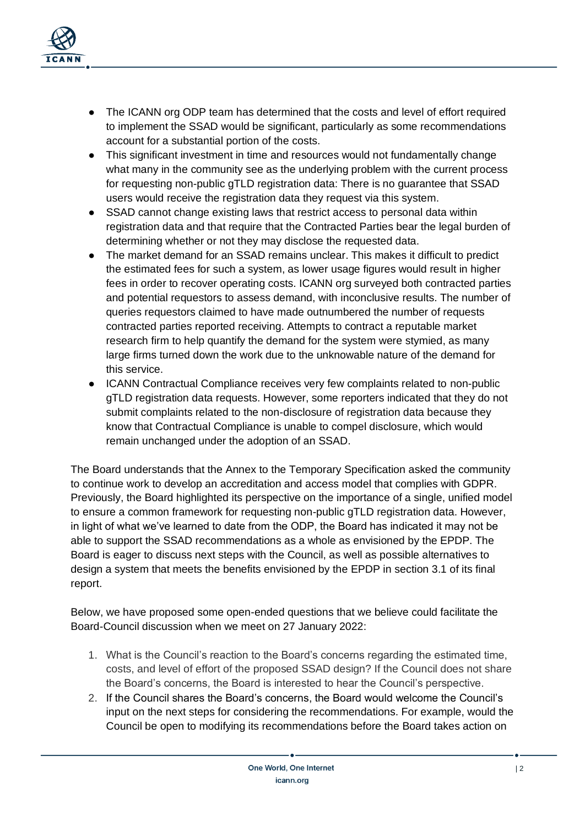

- The ICANN org ODP team has determined that the costs and level of effort required to implement the SSAD would be significant, particularly as some recommendations account for a substantial portion of the costs.
- This significant investment in time and resources would not fundamentally change what many in the community see as the underlying problem with the current process for requesting non-public gTLD registration data: There is no guarantee that SSAD users would receive the registration data they request via this system.
- SSAD cannot change existing laws that restrict access to personal data within registration data and that require that the Contracted Parties bear the legal burden of determining whether or not they may disclose the requested data.
- The market demand for an SSAD remains unclear. This makes it difficult to predict the estimated fees for such a system, as lower usage figures would result in higher fees in order to recover operating costs. ICANN org surveyed both contracted parties and potential requestors to assess demand, with inconclusive results. The number of queries requestors claimed to have made outnumbered the number of requests contracted parties reported receiving. Attempts to contract a reputable market research firm to help quantify the demand for the system were stymied, as many large firms turned down the work due to the unknowable nature of the demand for this service.
- ICANN Contractual Compliance receives very few complaints related to non-public gTLD registration data requests. However, some reporters indicated that they do not submit complaints related to the non-disclosure of registration data because they know that Contractual Compliance is unable to compel disclosure, which would remain unchanged under the adoption of an SSAD.

The Board understands that the Annex to the Temporary Specification asked the community to continue work to develop an accreditation and access model that complies with GDPR. Previously, the Board highlighted its perspective on the importance of a single, unified model to ensure a common framework for requesting non-public gTLD registration data. However, in light of what we've learned to date from the ODP, the Board has indicated it may not be able to support the SSAD recommendations as a whole as envisioned by the EPDP. The Board is eager to discuss next steps with the Council, as well as possible alternatives to design a system that meets the benefits envisioned by the EPDP in section 3.1 of its final report.

Below, we have proposed some open-ended questions that we believe could facilitate the Board-Council discussion when we meet on 27 January 2022:

- 1. What is the Council's reaction to the Board's concerns regarding the estimated time, costs, and level of effort of the proposed SSAD design? If the Council does not share the Board's concerns, the Board is interested to hear the Council's perspective.
- 2. If the Council shares the Board's concerns, the Board would welcome the Council's input on the next steps for considering the recommendations. For example, would the Council be open to modifying its recommendations before the Board takes action on